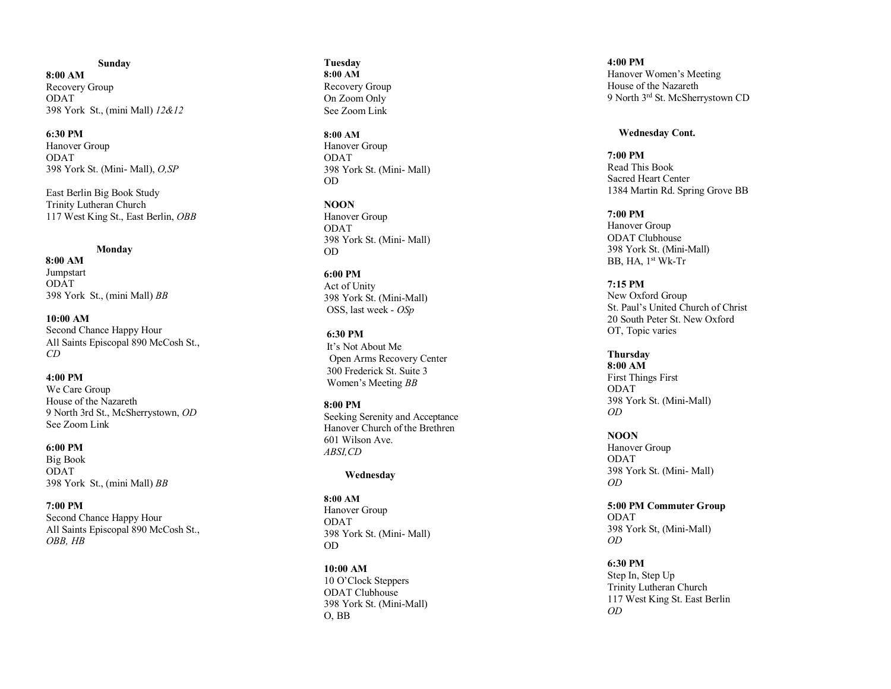#### **Sunday**

**8:00 AM** Recovery Group ODAT 398 York St., (mini Mall) *12&12*

**6:30 PM** Hanover Group ODAT 398 York St. (Mini - Mall), *O,SP*

East Berlin Big Book Study Trinity Lutheran Church 117 West King St., East Berlin, *OBB*

# **Monday**

 **8:00 AM** Jumpstart ODAT 398 York St., (mini Mall) *BB*

**10:00 AM** Second Chance Happy Hour All Saints Episcopal 890 McCosh St., *CD*

**4:00 PM** We Care Group House of the Nazareth 9 North 3rd St., McSherrystown, *OD* See Zoom Link

**6:00 PM** Big Book ODAT 398 York St., (mini Mall) *BB*

**7:00 PM** Second Chance Happy Hour All Saints Episcopal 890 McCosh St., *OBB , HB*

#### **Tuesday 8:00 AM** Recovery Group On Zoom Only See Zoom Link

#### **8:00 AM**

Hanover Group ODAT 398 York St. (Mini - Mall) OD

**NOON** Hanover Group ODAT 398 York St. (Mini - Mall) OD

**6:00 PM** Act of Unity 398 York St. (Mini -Mall) OSS, last wee k - *OSp*

**6:30 PM** It's Not About Me Open Arms Recovery Center 300 Frederick St. Suite 3 Women's Meeting *BB*

**8:00 PM** Seeking Serenity and Acceptance Hanover Church of the Brethren 601 Wilson Ave. *ABSI,CD*

#### **Wednesday**

**8:00 AM** Hanover Group ODAT 398 York St. (Mini - Mall) OD

**10:00 AM** 10 O'Clock Steppers ODAT Clubhouse 398 York St. (Mini -Mall) O, BB

**4:00 PM** Hanover Women's Meeting House of the Nazareth 9 North 3rd St. McSherrystown CD

# **Wednesday Cont.**

**7:0 0 PM** Read This Book Sacred Heart Center 1384 Martin Rd. Spring Grove BB

**7:00 PM** Hanover Group ODAT Clubhouse 398 York St. (Mini -Mall) BB, HA, 1<sup>st</sup> Wk-Tr

**7:15 PM** New Oxford Group St. Paul's United Church of Christ 20 South Peter St. New Oxford OT, Topic varies

**Thursday 8:00 AM** First Things First ODAT 398 York St. (Mini -Mall) *OD*

**NOON** Hanover Group ODAT 398 York St. (Mini - Mall) *OD*

**5:00 PM Commuter Group** ODAT 398 York St, (Mini -Mall) *OD*

**6:30 PM** Step In, Step Up Trinity Lutheran Church 117 West King St. East Berlin *OD*